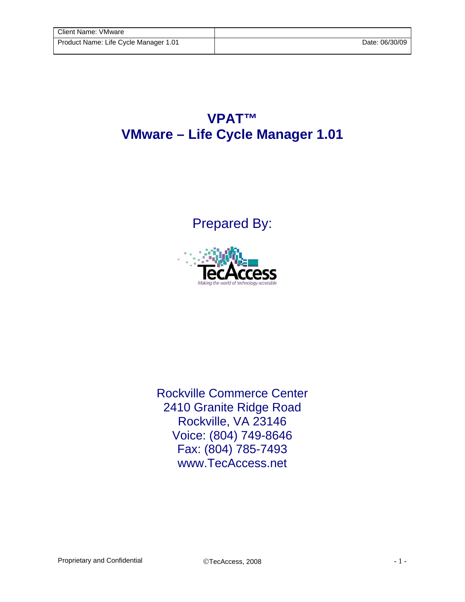## **VPAT™ VMware – Life Cycle Manager 1.01**

## Prepared By:



Rockville Commerce Center 2410 Granite Ridge Road Rockville, VA 23146 Voice: (804) 749-8646 Fax: (804) 785-7493 www.TecAccess.net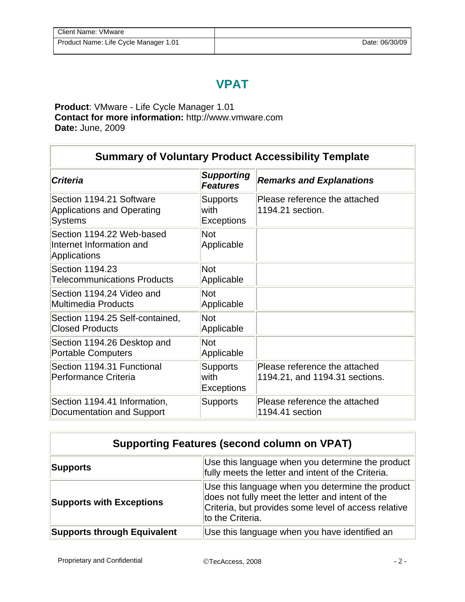## **VPAT**

**Product**: VMware - Life Cycle Manager 1.01 **Contact for more information:** http://www.vmware.com **Date:** June, 2009

| <b>Summary of Voluntary Product Accessibility Template</b>                      |                                              |                                                                 |  |
|---------------------------------------------------------------------------------|----------------------------------------------|-----------------------------------------------------------------|--|
| <b>Criteria</b>                                                                 | <b>Supporting</b><br><b>Features</b>         | <b>Remarks and Explanations</b>                                 |  |
| Section 1194.21 Software<br><b>Applications and Operating</b><br><b>Systems</b> | <b>Supports</b><br>with<br><b>Exceptions</b> | Please reference the attached<br>1194.21 section.               |  |
| Section 1194.22 Web-based<br>Internet Information and<br><b>Applications</b>    | <b>Not</b><br>Applicable                     |                                                                 |  |
| Section 1194.23<br><b>Telecommunications Products</b>                           | <b>Not</b><br>Applicable                     |                                                                 |  |
| Section 1194.24 Video and<br><b>Multimedia Products</b>                         | <b>Not</b><br>Applicable                     |                                                                 |  |
| Section 1194.25 Self-contained,<br><b>Closed Products</b>                       | <b>Not</b><br>Applicable                     |                                                                 |  |
| Section 1194.26 Desktop and<br><b>Portable Computers</b>                        | <b>Not</b><br>Applicable                     |                                                                 |  |
| Section 1194.31 Functional<br>Performance Criteria                              | <b>Supports</b><br>with<br><b>Exceptions</b> | Please reference the attached<br>1194.21, and 1194.31 sections. |  |
| Section 1194.41 Information,<br>Documentation and Support                       | <b>Supports</b>                              | Please reference the attached<br>1194.41 section                |  |

| <b>Supporting Features (second column on VPAT)</b> |                                                                                                                                                                                  |  |
|----------------------------------------------------|----------------------------------------------------------------------------------------------------------------------------------------------------------------------------------|--|
| Supports                                           | Use this language when you determine the product<br>fully meets the letter and intent of the Criteria.                                                                           |  |
| <b>Supports with Exceptions</b>                    | Use this language when you determine the product<br>does not fully meet the letter and intent of the<br>Criteria, but provides some level of access relative<br>to the Criteria. |  |
| <b>Supports through Equivalent</b>                 | Use this language when you have identified an                                                                                                                                    |  |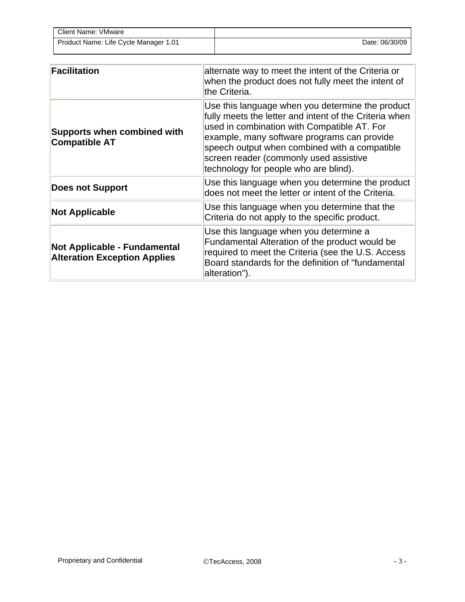| <b>Client Name: VMware</b>            |                |
|---------------------------------------|----------------|
| Product Name: Life Cycle Manager 1.01 | Date: 06/30/09 |

| <b>Facilitation</b>                                                 | alternate way to meet the intent of the Criteria or<br>when the product does not fully meet the intent of<br>the Criteria.                                                                                                                                                                                                                   |
|---------------------------------------------------------------------|----------------------------------------------------------------------------------------------------------------------------------------------------------------------------------------------------------------------------------------------------------------------------------------------------------------------------------------------|
| <b>Supports when combined with</b><br><b>Compatible AT</b>          | Use this language when you determine the product<br>fully meets the letter and intent of the Criteria when<br>used in combination with Compatible AT. For<br>example, many software programs can provide<br>speech output when combined with a compatible<br>screen reader (commonly used assistive<br>technology for people who are blind). |
| <b>Does not Support</b>                                             | Use this language when you determine the product<br>does not meet the letter or intent of the Criteria.                                                                                                                                                                                                                                      |
| <b>Not Applicable</b>                                               | Use this language when you determine that the<br>Criteria do not apply to the specific product.                                                                                                                                                                                                                                              |
| Not Applicable - Fundamental<br><b>Alteration Exception Applies</b> | Use this language when you determine a<br>Fundamental Alteration of the product would be<br>required to meet the Criteria (see the U.S. Access<br>Board standards for the definition of "fundamental<br>alteration").                                                                                                                        |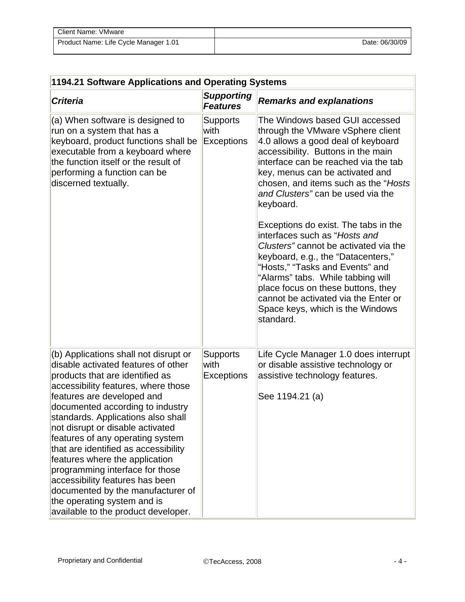| Client Name: VMware                   |                |
|---------------------------------------|----------------|
| Product Name: Life Cycle Manager 1.01 | Date: 06/30/09 |

| 1194.21 Software Applications and Operating Systems                                                                                                                                                                                                                                                                                                                                                                                                                                                                                                                                               |                                              |                                                                                                                                                                                                                                                                                                                                                             |  |
|---------------------------------------------------------------------------------------------------------------------------------------------------------------------------------------------------------------------------------------------------------------------------------------------------------------------------------------------------------------------------------------------------------------------------------------------------------------------------------------------------------------------------------------------------------------------------------------------------|----------------------------------------------|-------------------------------------------------------------------------------------------------------------------------------------------------------------------------------------------------------------------------------------------------------------------------------------------------------------------------------------------------------------|--|
| <b>Criteria</b>                                                                                                                                                                                                                                                                                                                                                                                                                                                                                                                                                                                   | <b>Supporting</b><br><b>Features</b>         | <b>Remarks and explanations</b>                                                                                                                                                                                                                                                                                                                             |  |
| (a) When software is designed to<br>run on a system that has a<br>keyboard, product functions shall be<br>executable from a keyboard where<br>the function itself or the result of<br>performing a function can be<br>discerned textually.                                                                                                                                                                                                                                                                                                                                                        | <b>Supports</b><br>with<br><b>Exceptions</b> | The Windows based GUI accessed<br>through the VMware vSphere client<br>4.0 allows a good deal of keyboard<br>accessibility. Buttons in the main<br>interface can be reached via the tab<br>key, menus can be activated and<br>chosen, and items such as the "Hosts<br>and Clusters" can be used via the<br>keyboard.                                        |  |
|                                                                                                                                                                                                                                                                                                                                                                                                                                                                                                                                                                                                   |                                              | Exceptions do exist. The tabs in the<br>interfaces such as "Hosts and<br>Clusters" cannot be activated via the<br>keyboard, e.g., the "Datacenters,"<br>"Hosts," "Tasks and Events" and<br>"Alarms" tabs. While tabbing will<br>place focus on these buttons, they<br>cannot be activated via the Enter or<br>Space keys, which is the Windows<br>standard. |  |
| (b) Applications shall not disrupt or<br>disable activated features of other<br>products that are identified as<br>accessibility features, where those<br>features are developed and<br>documented according to industry<br>standards. Applications also shall<br>not disrupt or disable activated<br>features of any operating system<br>that are identified as accessibility<br>features where the application<br>programming interface for those<br>accessibility features has been<br>documented by the manufacturer of<br>the operating system and is<br>available to the product developer. | <b>Supports</b><br>with<br><b>Exceptions</b> | Life Cycle Manager 1.0 does interrupt<br>or disable assistive technology or<br>assistive technology features.<br>See 1194.21 (a)                                                                                                                                                                                                                            |  |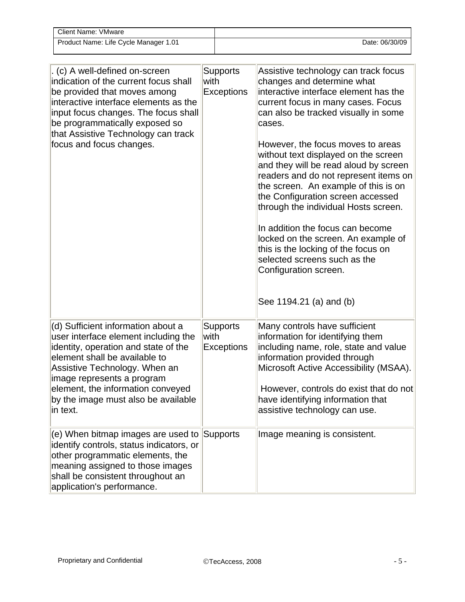| Client Name: VMware                   |                |
|---------------------------------------|----------------|
| Product Name: Life Cycle Manager 1.01 | Date: 06/30/09 |

| . (c) A well-defined on-screen<br>indication of the current focus shall<br>be provided that moves among<br>interactive interface elements as the<br>input focus changes. The focus shall<br>be programmatically exposed so<br>that Assistive Technology can track<br>focus and focus changes.              | <b>Supports</b><br>with<br><b>Exceptions</b> | Assistive technology can track focus<br>changes and determine what<br>interactive interface element has the<br>current focus in many cases. Focus<br>can also be tracked visually in some<br>cases.<br>However, the focus moves to areas<br>without text displayed on the screen<br>and they will be read aloud by screen<br>readers and do not represent items on<br>the screen. An example of this is on<br>the Configuration screen accessed<br>through the individual Hosts screen.<br>In addition the focus can become<br>locked on the screen. An example of<br>this is the locking of the focus on<br>selected screens such as the<br>Configuration screen.<br>See 1194.21 (a) and (b) |
|------------------------------------------------------------------------------------------------------------------------------------------------------------------------------------------------------------------------------------------------------------------------------------------------------------|----------------------------------------------|-----------------------------------------------------------------------------------------------------------------------------------------------------------------------------------------------------------------------------------------------------------------------------------------------------------------------------------------------------------------------------------------------------------------------------------------------------------------------------------------------------------------------------------------------------------------------------------------------------------------------------------------------------------------------------------------------|
| (d) Sufficient information about a<br>user interface element including the<br>identity, operation and state of the<br>element shall be available to<br>Assistive Technology. When an<br>image represents a program<br>element, the information conveyed<br>by the image must also be available<br>in text. | <b>Supports</b><br>with<br><b>Exceptions</b> | Many controls have sufficient<br>information for identifying them<br>including name, role, state and value<br>information provided through<br>Microsoft Active Accessibility (MSAA).<br>However, controls do exist that do not<br>have identifying information that<br>assistive technology can use.                                                                                                                                                                                                                                                                                                                                                                                          |
| (e) When bitmap images are used to<br>identify controls, status indicators, or<br>other programmatic elements, the<br>meaning assigned to those images<br>shall be consistent throughout an<br>application's performance.                                                                                  | Supports                                     | Image meaning is consistent.                                                                                                                                                                                                                                                                                                                                                                                                                                                                                                                                                                                                                                                                  |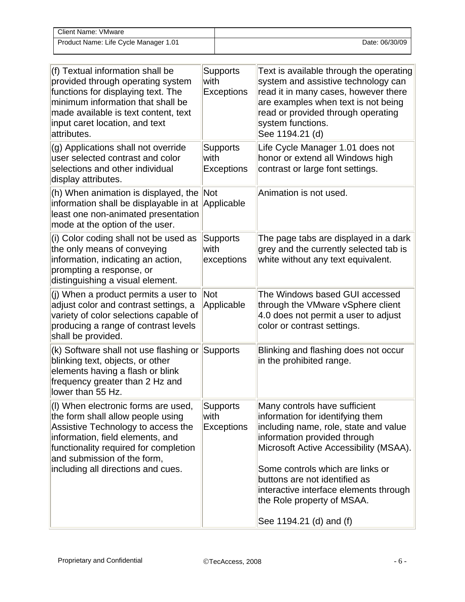| Client Name: VMware                   |                |
|---------------------------------------|----------------|
| Product Name: Life Cycle Manager 1.01 | Date: 06/30/09 |

| (f) Textual information shall be<br>provided through operating system<br>functions for displaying text. The<br>minimum information that shall be<br>made available is text content, text<br>input caret location, and text<br>attributes.                        | <b>Supports</b><br>with<br><b>Exceptions</b> | Text is available through the operating<br>system and assistive technology can<br>read it in many cases, however there<br>are examples when text is not being<br>read or provided through operating<br>system functions.<br>See 1194.21 (d)                                                                                       |
|------------------------------------------------------------------------------------------------------------------------------------------------------------------------------------------------------------------------------------------------------------------|----------------------------------------------|-----------------------------------------------------------------------------------------------------------------------------------------------------------------------------------------------------------------------------------------------------------------------------------------------------------------------------------|
| (g) Applications shall not override<br>user selected contrast and color<br>selections and other individual<br>display attributes.                                                                                                                                | <b>Supports</b><br>with<br><b>Exceptions</b> | Life Cycle Manager 1.01 does not<br>honor or extend all Windows high<br>contrast or large font settings.                                                                                                                                                                                                                          |
| (h) When animation is displayed, the Not<br>information shall be displayable in at<br>least one non-animated presentation<br>mode at the option of the user.                                                                                                     | Applicable                                   | Animation is not used.                                                                                                                                                                                                                                                                                                            |
| (i) Color coding shall not be used as<br>the only means of conveying<br>information, indicating an action,<br>prompting a response, or<br>distinguishing a visual element.                                                                                       | <b>Supports</b><br>with<br>exceptions        | The page tabs are displayed in a dark<br>grey and the currently selected tab is<br>white without any text equivalent.                                                                                                                                                                                                             |
| (j) When a product permits a user to<br>adjust color and contrast settings, a<br>variety of color selections capable of<br>producing a range of contrast levels<br>shall be provided.                                                                            | <b>Not</b><br>Applicable                     | The Windows based GUI accessed<br>through the VMware vSphere client<br>4.0 does not permit a user to adjust<br>color or contrast settings.                                                                                                                                                                                        |
| (k) Software shall not use flashing or<br>blinking text, objects, or other<br>elements having a flash or blink<br>frequency greater than 2 Hz and<br>lower than 55 Hz.                                                                                           | <b>Supports</b>                              | Blinking and flashing does not occur<br>in the prohibited range.                                                                                                                                                                                                                                                                  |
| (I) When electronic forms are used,<br>the form shall allow people using<br>Assistive Technology to access the<br>information, field elements, and<br>functionality required for completion<br>and submission of the form,<br>including all directions and cues. | <b>Supports</b><br>with<br><b>Exceptions</b> | Many controls have sufficient<br>information for identifying them<br>including name, role, state and value<br>information provided through<br>Microsoft Active Accessibility (MSAA).<br>Some controls which are links or<br>buttons are not identified as<br>interactive interface elements through<br>the Role property of MSAA. |
|                                                                                                                                                                                                                                                                  |                                              | See 1194.21 (d) and (f)                                                                                                                                                                                                                                                                                                           |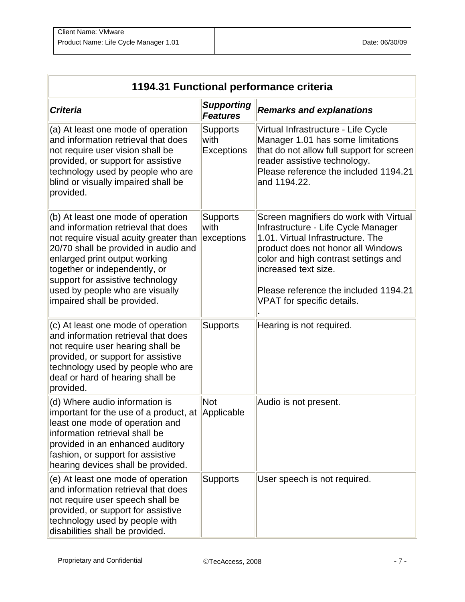| <b>Client Name: VMware</b>            |                |
|---------------------------------------|----------------|
| Product Name: Life Cycle Manager 1.01 | Date: 06/30/09 |

| 1194.31 Functional performance criteria                                                                                                                                                                                                                                                                                             |                                              |                                                                                                                                                                                                                                                                                                 |
|-------------------------------------------------------------------------------------------------------------------------------------------------------------------------------------------------------------------------------------------------------------------------------------------------------------------------------------|----------------------------------------------|-------------------------------------------------------------------------------------------------------------------------------------------------------------------------------------------------------------------------------------------------------------------------------------------------|
| <b>Criteria</b>                                                                                                                                                                                                                                                                                                                     | <b>Supporting</b><br><b>Features</b>         | <b>Remarks and explanations</b>                                                                                                                                                                                                                                                                 |
| (a) At least one mode of operation<br>and information retrieval that does<br>not require user vision shall be<br>provided, or support for assistive<br>technology used by people who are<br>blind or visually impaired shall be<br>provided.                                                                                        | <b>Supports</b><br>with<br><b>Exceptions</b> | Virtual Infrastructure - Life Cycle<br>Manager 1.01 has some limitations<br>that do not allow full support for screen<br>reader assistive technology.<br>Please reference the included 1194.21<br>and 1194.22.                                                                                  |
| (b) At least one mode of operation<br>and information retrieval that does<br>not require visual acuity greater than<br>20/70 shall be provided in audio and<br>enlarged print output working<br>together or independently, or<br>support for assistive technology<br>used by people who are visually<br>impaired shall be provided. | <b>Supports</b><br>with<br>exceptions        | Screen magnifiers do work with Virtual<br>Infrastructure - Life Cycle Manager<br>1.01. Virtual Infrastructure. The<br>product does not honor all Windows<br>color and high contrast settings and<br>increased text size.<br>Please reference the included 1194.21<br>VPAT for specific details. |
| (c) At least one mode of operation<br>and information retrieval that does<br>not require user hearing shall be<br>provided, or support for assistive<br>technology used by people who are<br>deaf or hard of hearing shall be<br>provided.                                                                                          | <b>Supports</b>                              | Hearing is not required.                                                                                                                                                                                                                                                                        |
| (d) Where audio information is<br>important for the use of a product, at<br>least one mode of operation and<br>information retrieval shall be<br>provided in an enhanced auditory<br>fashion, or support for assistive<br>hearing devices shall be provided.                                                                        | <b>Not</b><br>Applicable                     | Audio is not present.                                                                                                                                                                                                                                                                           |
| (e) At least one mode of operation<br>and information retrieval that does<br>not require user speech shall be<br>provided, or support for assistive<br>technology used by people with<br>disabilities shall be provided.                                                                                                            | <b>Supports</b>                              | User speech is not required.                                                                                                                                                                                                                                                                    |